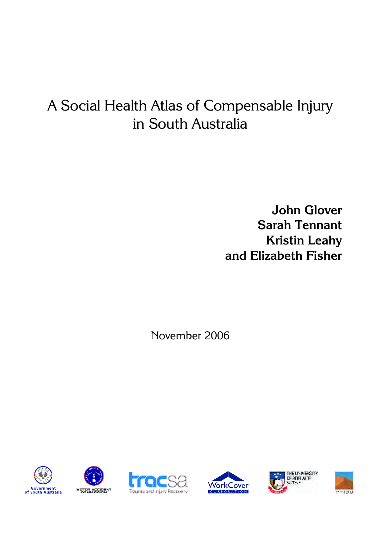# A Social Health Atlas of Compensable Injury in South Australia

**John Glover Sarah Tennant Kristin Leahy and Elizabeth Fisher** 

November 2006











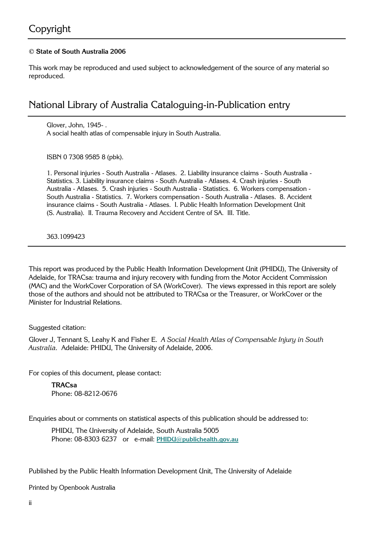## Copyright

#### **© State of South Australia 2006**

This work may be reproduced and used subject to acknowledgement of the source of any material so reproduced.

### National Library of Australia Cataloguing-in-Publication entry

Glover, John, 1945- . A social health atlas of compensable injury in South Australia.

ISBN 0 7308 9585 8 (pbk).

1. Personal injuries - South Australia - Atlases. 2. Liability insurance claims - South Australia - Statistics. 3. Liability insurance claims - South Australia - Atlases. 4. Crash injuries - South Australia - Atlases. 5. Crash injuries - South Australia - Statistics. 6. Workers compensation - South Australia - Statistics. 7. Workers compensation - South Australia - Atlases. 8. Accident insurance claims - South Australia - Atlases. I. Public Health Information Development Unit (S. Australia). II. Trauma Recovery and Accident Centre of SA. III. Title.

363.1099423

This report was produced by the Public Health Information Development Unit (PHIDU), The University of Adelaide, for TRACsa: trauma and injury recovery with funding from the Motor Accident Commission (MAC) and the WorkCover Corporation of SA (WorkCover). The views expressed in this report are solely those of the authors and should not be attributed to TRACsa or the Treasurer, or WorkCover or the Minister for Industrial Relations.

Suggested citation:

Glover J, Tennant S, Leahy K and Fisher E. *A Social Health Atlas of Compensable Injury in South Australia.* Adelaide: PHIDU, The University of Adelaide, 2006.

For copies of this document, please contact:

 **TRACsa**  Phone: 08-8212-0676

Enquiries about or comments on statistical aspects of this publication should be addressed to:

PHIDU, The University of Adelaide, South Australia 5005 Phone: 08-8303 6237 or e-mail: **PHIDU@publichealth.gov.au**

Published by the Public Health Information Development Unit, The University of Adelaide

Printed by Openbook Australia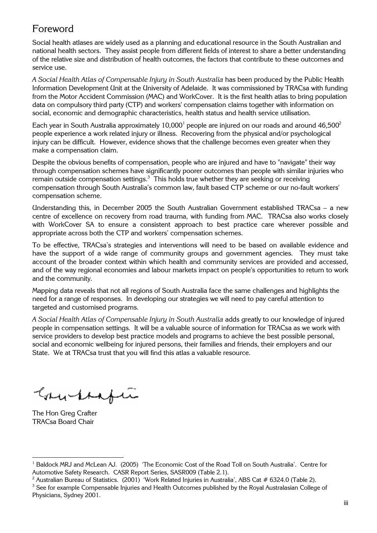## Foreword

Social health atlases are widely used as a planning and educational resource in the South Australian and national health sectors. They assist people from different fields of interest to share a better understanding of the relative size and distribution of health outcomes, the factors that contribute to these outcomes and service use.

*A Social Health Atlas of Compensable Injury in South Australia* has been produced by the Public Health Information Development Unit at the University of Adelaide. It was commissioned by TRACsa with funding from the Motor Accident Commission (MAC) and WorkCover. It is the first health atlas to bring population data on compulsory third party (CTP) and workers' compensation claims together with information on social, economic and demographic characteristics, health status and health service utilisation.

Each year in South Australia approximately 10,000<sup>1</sup> people are injured on our roads and around 46,500<sup>2</sup> people experience a work related injury or illness. Recovering from the physical and/or psychological make a compensation claim. injury can be difficult. However, evidence shows that the challenge becomes even greater when they

through compensation schemes have significantly poorer outcomes than people with similar injuries who remain outside compensation settings.<sup>3</sup> This holds true whether they are seeking or receiving compensation scheme. compensation through South Australia's common law, fault based CTP scheme or our no-fault workers' Despite the obvious benefits of compensation, people who are injured and have to "navigate" their way

Understanding this, in December 2005 the South Australian Government established TRACsa – a new centre of excellence on recovery from road trauma, with funding from MAC. TRACsa also works closely with WorkCover SA to ensure a consistent approach to best practice care wherever possible and appropriate across both the CTP and workers' compensation schemes.

To be effective, TRACsa's strategies and interventions will need to be based on available evidence and have the support of a wide range of community groups and government agencies. They must take account of the broader context within which health and community services are provided and accessed, and of the way regional economies and labour markets impact on people's opportunities to return to work and the community.

Mapping data reveals that not all regions of South Australia face the same challenges and highlights the need for a range of responses. In developing our strategies we will need to pay careful attention to targeted and customised programs.

*A Social Health Atlas of Compensable Injury in South Australia* adds greatly to our knowledge of injured people in compensation settings. It will be a valuable source of information for TRACsa as we work with service providers to develop best practice models and programs to achieve the best possible personal, social and economic wellbeing for injured persons, their families and friends, their employers and our State. We at TRACsa trust that you will find this atlas a valuable resource.

Grundrafía

The Hon Greg Crafter TRACsa Board Chair

<sup>&</sup>lt;sup>1</sup> Baldock MRJ and McLean AJ. (2005) 'The Economic Cost of the Road Toll on South Australia'. Centre for Automotive Safety Research. CASR Report Series, SASR009 (Table 2.1).

<sup>&</sup>lt;sup>2</sup> Australian Bureau of Statistics. (2001) 'Work Related Injuries in Australia', ABS Cat # 6324.0 (Table 2).

<sup>&</sup>lt;sup>3</sup> See for example Compensable Injuries and Health Outcomes published by the Royal Australasian College of Physicians, Sydney 2001.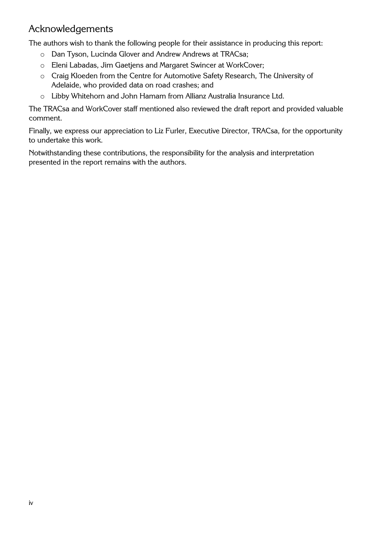# Acknowledgements

The authors wish to thank the following people for their assistance in producing this report:

- o Dan Tyson, Lucinda Glover and Andrew Andrews at TRACsa;
- o Eleni Labadas, Jim Gaetjens and Margaret Swincer at WorkCover;
- o Craig Kloeden from the Centre for Automotive Safety Research, The University of Adelaide, who provided data on road crashes; and
- o Libby Whitehorn and John Hamam from Allianz Australia Insurance Ltd.

The TRACsa and WorkCover staff mentioned also reviewed the draft report and provided valuable comment.

Finally, we express our appreciation to Liz Furler, Executive Director, TRACsa, for the opportunity to undertake this work.

Notwithstanding these contributions, the responsibility for the analysis and interpretation presented in the report remains with the authors.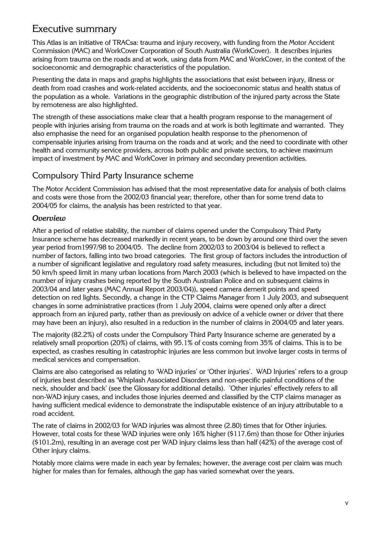### Executive summary

Commission (MAC) and WorkCover Corporation of South Australia (WorkCover). It describes injuries arising from trauma on the roads and at work, using data from MAC and WorkCover, in the context of the socioeconomic and demographic characteristics of the population. This Atlas is an initiative of TRACsa: trauma and injury recovery, with funding from the Motor Accident

Presenting the data in maps and graphs highlights the associations that exist between injury, illness or death from road crashes and work-related accidents, and the socioeconomic status and health status of the population as a whole. Variations in the geographic distribution of the injured party across the State by remoteness are also highlighted.

The strength of these associations make clear that a health program response to the management of people with injuries arising from trauma on the roads and at work is both legitimate and warranted. They also emphasise the need for an organised population health response to the phenomenon of compensable injuries arising from trauma on the roads and at work; and the need to coordinate with other health and community service providers, across both public and private sectors, to achieve maximum impact of investment by MAC and WorkCover in primary and secondary prevention activities.

### Compulsory Third Party Insurance scheme

The Motor Accident Commission has advised that the most representative data for analysis of both claims and costs were those from the 2002/03 financial year; therefore, other than for some trend data to 2004/05 for claims, the analysis has been restricted to that year.

### *Overview*

After a period of relative stability, the number of claims opened under the Compulsory Third Party Insurance scheme has decreased markedly in recent years, to be down by around one third over the seven year period from1997/98 to 2004/05. The decline from 2002/03 to 2003/04 is believed to reflect a number of factors, falling into two broad categories. The first group of factors includes the introduction of a number of significant legislative and regulatory road safety measures, including (but not limited to) the 50 km/h speed limit in many urban locations from March 2003 (which is believed to have impacted on the number of injury crashes being reported by the South Australian Police and on subsequent claims in 2003/04 and later years (MAC Annual Report 2003/04)), speed camera demerit points and speed detection on red lights. Secondly, a change in the CTP Claims Manager from 1 July 2003, and subsequent changes in some administrative practices (from 1 July 2004, claims were opened only after a direct approach from an injured party, rather than as previously on advice of a vehicle owner or driver that there may have been an injury), also resulted in a reduction in the number of claims in 2004/05 and later years.

The majority (82.2%) of costs under the Compulsory Third Party Insurance scheme are generated by a relatively small proportion (20%) of claims, with 95.1% of costs coming from 35% of claims. This is to be expected, as crashes resulting in catastrophic injuries are less common but involve larger costs in terms of medical services and compensation.

Claims are also categorised as relating to 'WAD injuries' or 'Other injuries'. WAD Injuries' refers to a group of injuries best described as 'Whiplash Associated Disorders and non-specific painful conditions of the neck, shoulder and back' (see the Glossary for additional details). 'Other injuries' effectively refers to all non-WAD injury cases, and includes those injuries deemed and classified by the CTP claims manager as having sufficient medical evidence to demonstrate the indisputable existence of an injury attributable to a road accident.

The rate of claims in 2002/03 for WAD injuries was almost three (2.80) times that for Other injuries. However, total costs for these WAD injuries were only 16% higher (\$117.6m) than those for Other injuries (\$101.2m), resulting in an average cost per WAD injury claims less than half (42%) of the average cost of Other injury claims.

Notably more claims were made in each year by females; however, the average cost per claim was much higher for males than for females, although the gap has varied somewhat over the years.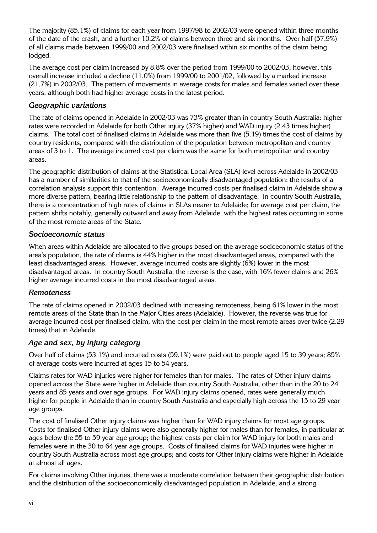The majority (85.1%) of claims for each year from 1997/98 to 2002/03 were opened within three months of the date of the crash, and a further 10.2% of claims between three and six months. Over half (57.9%) of all claims made between 1999/00 and 2002/03 were finalised within six months of the claim being lodged.

The average cost per claim increased by 8.8% over the period from 1999/00 to 2002/03; however, this overall increase included a decline (11.0%) from 1999/00 to 2001/02, followed by a marked increase (21.7%) in 2002/03. The pattern of movements in average costs for males and females varied over these years, although both had higher average costs in the latest period.

### *Geographic variations*

The rate of claims opened in Adelaide in 2002/03 was 73% greater than in country South Australia: higher rates were recorded in Adelaide for both Other injury (37% higher) and WAD injury (2.43 times higher) claims. The total cost of finalised claims in Adelaide was more than five (5.19) times the cost of claims by country residents, compared with the distribution of the population between metropolitan and country areas of 3 to 1. The average incurred cost per claim was the same for both metropolitan and country areas.

The geographic distribution of claims at the Statistical Local Area (SLA) level across Adelaide in 2002/03 has a number of similarities to that of the socioeconomically disadvantaged population: the results of a correlation analysis support this contention. Average incurred costs per finalised claim in Adelaide show a more diverse pattern, bearing little relationship to the pattern of disadvantage. In country South Australia, there is a concentration of high rates of claims in SLAs nearer to Adelaide; for average cost per claim, the pattern shifts notably, generally outward and away from Adelaide, with the highest rates occurring in some of the most remote areas of the State.

#### *Socioeconomic status*

When areas within Adelaide are allocated to five groups based on the average socioeconomic status of the area's population, the rate of claims is 44% higher in the most disadvantaged areas, compared with the least disadvantaged areas. However, average incurred costs are slightly (6%) lower in the most disadvantaged areas. In country South Australia, the reverse is the case, with 16% fewer claims and 26% higher average incurred costs in the most disadvantaged areas.

#### *Remoteness*

The rate of claims opened in 2002/03 declined with increasing remoteness, being 61% lower in the most remote areas of the State than in the Major Cities areas (Adelaide). However, the reverse was true for average incurred cost per finalised claim, with the cost per claim in the most remote areas over twice (2.29 times) that in Adelaide.

#### *Age and sex, by injury category*

Over half of claims (53.1%) and incurred costs (59.1%) were paid out to people aged 15 to 39 years; 85% of average costs were incurred at ages 15 to 54 years.

Claims rates for WAD injuries were higher for females than for males. The rates of Other injury claims opened across the State were higher in Adelaide than country South Australia, other than in the 20 to 24 years and 85 years and over age groups. For WAD injury claims opened, rates were generally much higher for people in Adelaide than in country South Australia and especially high across the 15 to 29 year age groups.

The cost of finalised Other injury claims was higher than for WAD injury claims for most age groups. Costs for finalised Other injury claims were also generally higher for males than for females, in particular at ages below the 55 to 59 year age group; the highest costs per claim for WAD injury for both males and females were in the 30 to 64 year age groups. Costs of finalised claims for WAD injuries were higher in country South Australia across most age groups; and costs for Other injury claims were higher in Adelaide at almost all ages.

For claims involving Other injuries, there was a moderate correlation between their geographic distribution and the distribution of the socioeconomically disadvantaged population in Adelaide, and a strong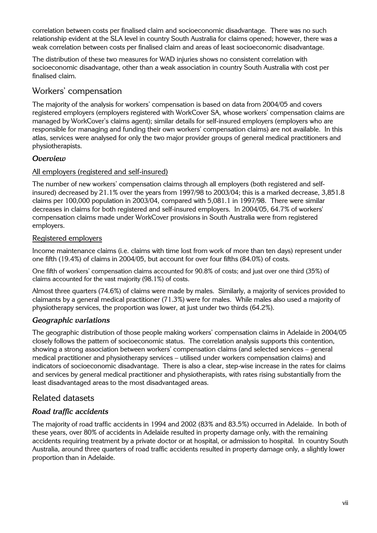correlation between costs per finalised claim and socioeconomic disadvantage. There was no such relationship evident at the SLA level in country South Australia for claims opened; however, there was a weak correlation between costs per finalised claim and areas of least socioeconomic disadvantage.

The distribution of these two measures for WAD injuries shows no consistent correlation with socioeconomic disadvantage, other than a weak association in country South Australia with cost per finalised claim.

### Workers' compensation

The majority of the analysis for workers' compensation is based on data from 2004/05 and covers registered employers (employers registered with WorkCover SA, whose workers' compensation claims are managed by WorkCover's claims agent); similar details for self-insured employers (employers who are responsible for managing and funding their own workers' compensation claims) are not available. In this atlas, services were analysed for only the two major provider groups of general medical practitioners and physiotherapists.

### *Overview*

### All employers (registered and self-insured)

The number of new workers' compensation claims through all employers (both registered and selfinsured) decreased by 21.1% over the years from 1997/98 to 2003/04; this is a marked decrease, 3,851.8 claims per 100,000 population in 2003/04, compared with 5,081.1 in 1997/98. There were similar decreases in claims for both registered and self-insured employers. In 2004/05, 64.7% of workers' compensation claims made under WorkCover provisions in South Australia were from registered employers.

### Registered employers

Income maintenance claims (i.e. claims with time lost from work of more than ten days) represent under one fifth (19.4%) of claims in 2004/05, but account for over four fifths (84.0%) of costs.

One fifth of workers' compensation claims accounted for 90.8% of costs; and just over one third (35%) of claims accounted for the vast majority (98.1%) of costs.

Almost three quarters (74.6%) of claims were made by males. Similarly, a majority of services provided to claimants by a general medical practitioner (71.3%) were for males. While males also used a majority of physiotherapy services, the proportion was lower, at just under two thirds (64.2%).

### *Geographic variations*

The geographic distribution of those people making workers' compensation claims in Adelaide in 2004/05 closely follows the pattern of socioeconomic status. The correlation analysis supports this contention, showing a strong association between workers' compensation claims (and selected services – general medical practitioner and physiotherapy services – utilised under workers compensation claims) and indicators of socioeconomic disadvantage. There is also a clear, step-wise increase in the rates for claims and services by general medical practitioner and physiotherapists, with rates rising substantially from the least disadvantaged areas to the most disadvantaged areas.

### Related datasets

### *Road traffic accidents*

The majority of road traffic accidents in 1994 and 2002 (83% and 83.5%) occurred in Adelaide. In both of these years, over 80% of accidents in Adelaide resulted in property damage only, with the remaining accidents requiring treatment by a private doctor or at hospital, or admission to hospital. In country South Australia, around three quarters of road traffic accidents resulted in property damage only, a slightly lower proportion than in Adelaide.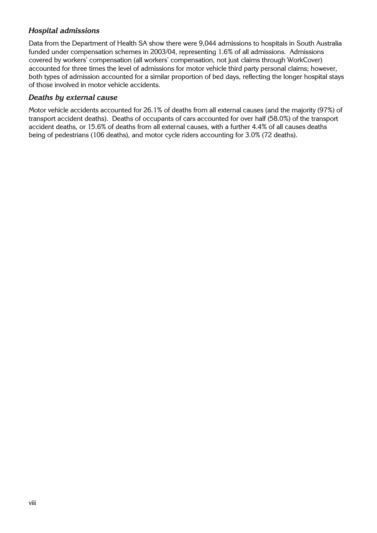### *Hospital admissions*

Data from the Department of Health SA show there were 9,044 admissions to hospitals in South Australia funded under compensation schemes in 2003/04, representing 1.6% of all admissions. Admissions covered by workers' compensation (all workers' compensation, not just claims through WorkCover) accounted for three times the level of admissions for motor vehicle third party personal claims; however, both types of admission accounted for a similar proportion of bed days, reflecting the longer hospital stays of those involved in motor vehicle accidents.

#### *Deaths by external cause*

Motor vehicle accidents accounted for 26.1% of deaths from all external causes (and the majority (97%) of transport accident deaths). Deaths of occupants of cars accounted for over half (58.0%) of the transport accident deaths, or 15.6% of deaths from all external causes, with a further 4.4% of all causes deaths being of pedestrians (106 deaths), and motor cycle riders accounting for 3.0% (72 deaths).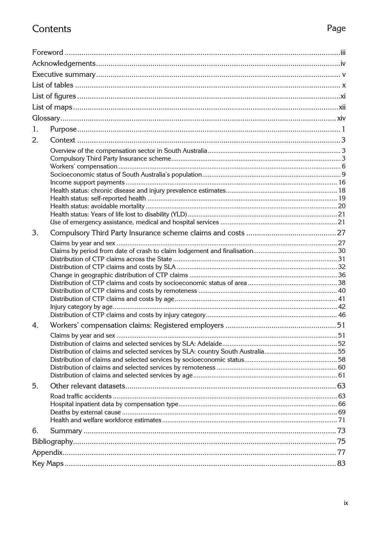# Contents

|--|

| 1. |  |  |  |  |  |
|----|--|--|--|--|--|
| 2. |  |  |  |  |  |
|    |  |  |  |  |  |
|    |  |  |  |  |  |
|    |  |  |  |  |  |
|    |  |  |  |  |  |
|    |  |  |  |  |  |
|    |  |  |  |  |  |
|    |  |  |  |  |  |
|    |  |  |  |  |  |
|    |  |  |  |  |  |
| 3. |  |  |  |  |  |
|    |  |  |  |  |  |
|    |  |  |  |  |  |
|    |  |  |  |  |  |
|    |  |  |  |  |  |
|    |  |  |  |  |  |
|    |  |  |  |  |  |
|    |  |  |  |  |  |
|    |  |  |  |  |  |
|    |  |  |  |  |  |
| 4. |  |  |  |  |  |
|    |  |  |  |  |  |
|    |  |  |  |  |  |
|    |  |  |  |  |  |
|    |  |  |  |  |  |
|    |  |  |  |  |  |
|    |  |  |  |  |  |
| 5. |  |  |  |  |  |
|    |  |  |  |  |  |
|    |  |  |  |  |  |
|    |  |  |  |  |  |
|    |  |  |  |  |  |
| 6. |  |  |  |  |  |
|    |  |  |  |  |  |
|    |  |  |  |  |  |
|    |  |  |  |  |  |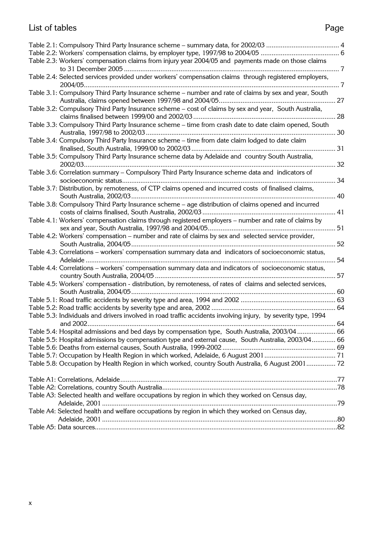# List of tables

# Page

| Table 2.3: Workers' compensation claims from injury year 2004/05 and payments made on those claims             |    |
|----------------------------------------------------------------------------------------------------------------|----|
|                                                                                                                |    |
| Table 2.4: Selected services provided under workers' compensation claims through registered employers,         |    |
| Table 3.1: Compulsory Third Party Insurance scheme - number and rate of claims by sex and year, South          |    |
|                                                                                                                |    |
| Table 3.2: Compulsory Third Party Insurance scheme - cost of claims by sex and year, South Australia,          |    |
| Table 3.3: Compulsory Third Party Insurance scheme - time from crash date to date claim opened, South          |    |
| Table 3.4: Compulsory Third Party Insurance scheme – time from date claim lodged to date claim                 |    |
|                                                                                                                |    |
| Table 3.5: Compulsory Third Party Insurance scheme data by Adelaide and country South Australia,               |    |
| Table 3.6: Correlation summary - Compulsory Third Party Insurance scheme data and indicators of                |    |
|                                                                                                                |    |
| Table 3.7: Distribution, by remoteness, of CTP claims opened and incurred costs of finalised claims,           |    |
| Table 3.8: Compulsory Third Party Insurance scheme - age distribution of claims opened and incurred            |    |
|                                                                                                                |    |
| Table 4.1: Workers' compensation claims through registered employers - number and rate of claims by            |    |
| Table 4.2: Workers' compensation - number and rate of claims by sex and selected service provider,             |    |
|                                                                                                                | 52 |
| Table 4.3: Correlations - workers' compensation summary data and indicators of socioeconomic status,           | 54 |
| Table 4.4: Correlations - workers' compensation summary data and indicators of socioeconomic status,           |    |
|                                                                                                                | 57 |
| Table 4.5: Workers' compensation - distribution, by remoteness, of rates of claims and selected services,      |    |
|                                                                                                                |    |
|                                                                                                                |    |
| Table 5.3: Individuals and drivers involved in road traffic accidents involving injury, by severity type, 1994 |    |
|                                                                                                                |    |
| Table 5.4: Hospital admissions and bed days by compensation type, South Australia, 2003/04  66                 |    |
| Table 5.5: Hospital admissions by compensation type and external cause, South Australia, 2003/04 66            |    |
|                                                                                                                |    |
|                                                                                                                |    |
| Table 5.8: Occupation by Health Region in which worked, country South Australia, 6 August 2001 72              |    |
|                                                                                                                |    |
|                                                                                                                |    |
| Table A3: Selected health and welfare occupations by region in which they worked on Census day,                |    |
|                                                                                                                |    |
| Table A4: Selected health and welfare occupations by region in which they worked on Census day,                |    |
|                                                                                                                |    |
|                                                                                                                |    |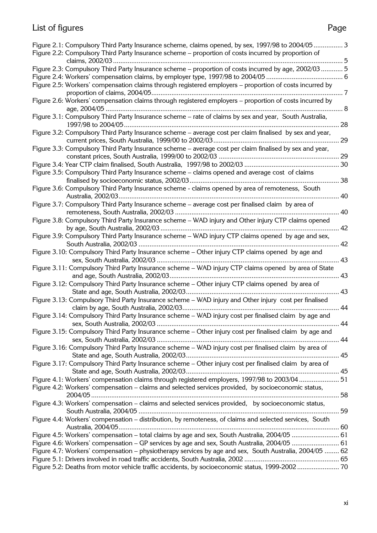# List of figures

| Figure 2.1: Compulsory Third Party Insurance scheme, claims opened, by sex, 1997/98 to 2004/053         |    |
|---------------------------------------------------------------------------------------------------------|----|
| Figure 2.2: Compulsory Third Party Insurance scheme - proportion of costs incurred by proportion of     |    |
|                                                                                                         |    |
| Figure 2.3: Compulsory Third Party Insurance scheme - proportion of costs incurred by age, 2002/03  5   |    |
|                                                                                                         |    |
| Figure 2.5: Workers' compensation claims through registered employers - proportion of costs incurred by |    |
|                                                                                                         |    |
| Figure 2.6: Workers' compensation claims through registered employers - proportion of costs incurred by |    |
|                                                                                                         |    |
| Figure 3.1: Compulsory Third Party Insurance scheme - rate of claims by sex and year, South Australia,  |    |
|                                                                                                         |    |
| Figure 3.2: Compulsory Third Party Insurance scheme – average cost per claim finalised by sex and year, |    |
|                                                                                                         | 29 |
| Figure 3.3: Compulsory Third Party Insurance scheme - average cost per claim finalised by sex and year, |    |
|                                                                                                         |    |
|                                                                                                         |    |
| Figure 3.5: Compulsory Third Party Insurance scheme - claims opened and average cost of claims          |    |
|                                                                                                         |    |
| Figure 3.6: Compulsory Third Party Insurance scheme - claims opened by area of remoteness, South        |    |
|                                                                                                         |    |
| Figure 3.7: Compulsory Third Party Insurance scheme - average cost per finalised claim by area of       |    |
|                                                                                                         |    |
| Figure 3.8: Compulsory Third Party Insurance scheme - WAD injury and Other injury CTP claims opened     |    |
|                                                                                                         |    |
| Figure 3.9: Compulsory Third Party Insurance scheme - WAD injury CTP claims opened by age and sex,      |    |
|                                                                                                         |    |
|                                                                                                         |    |
| Figure 3.10: Compulsory Third Party Insurance scheme - Other injury CTP claims opened by age and        |    |
|                                                                                                         |    |
| Figure 3.11: Compulsory Third Party Insurance scheme - WAD injury CTP claims opened by area of State    |    |
|                                                                                                         |    |
| Figure 3.12: Compulsory Third Party Insurance scheme - Other injury CTP claims opened by area of        |    |
|                                                                                                         |    |
| Figure 3.13: Compulsory Third Party Insurance scheme - WAD injury and Other injury cost per finalised   |    |
|                                                                                                         |    |
| Figure 3.14: Compulsory Third Party Insurance scheme - WAD injury cost per finalised claim by age and   |    |
|                                                                                                         |    |
| Figure 3.15: Compulsory Third Party Insurance scheme - Other injury cost per finalised claim by age and |    |
|                                                                                                         |    |
| Figure 3.16: Compulsory Third Party Insurance scheme - WAD injury cost per finalised claim by area of   |    |
|                                                                                                         |    |
| Figure 3.17: Compulsory Third Party Insurance scheme - Other injury cost per finalised claim by area of |    |
|                                                                                                         |    |
| Figure 4.1: Workers' compensation claims through registered employers, 1997/98 to 2003/04  51           |    |
| Figure 4.2: Workers' compensation – claims and selected services provided, by socioeconomic status,     |    |
|                                                                                                         |    |
| Figure 4.3: Workers' compensation – claims and selected services provided, by socioeconomic status,     |    |
|                                                                                                         |    |
| Figure 4.4: Workers' compensation - distribution, by remoteness, of claims and selected services, South |    |
|                                                                                                         |    |
| Figure 4.5: Workers' compensation – total claims by age and sex, South Australia, 2004/05  61           |    |
| Figure 4.6: Workers' compensation – GP services by age and sex, South Australia, 2004/05  61            |    |
| Figure 4.7: Workers' compensation – physiotherapy services by age and sex, South Australia, 2004/05  62 |    |
|                                                                                                         |    |
| Figure 5.2: Deaths from motor vehicle traffic accidents, by socioeconomic status, 1999-2002 70          |    |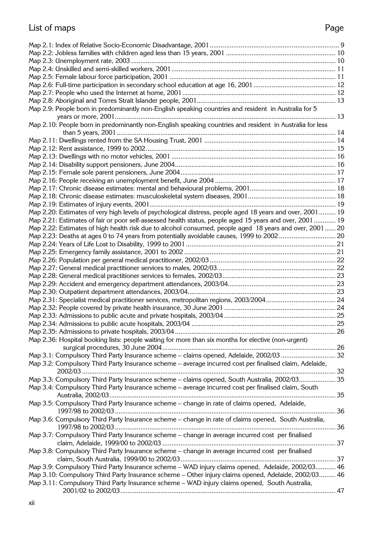# List of maps

# Page

| Map 2.9: People born in predominantly non-English speaking countries and resident in Australia for 5      |  |
|-----------------------------------------------------------------------------------------------------------|--|
|                                                                                                           |  |
| Map 2.10: People born in predominantly non-English speaking countries and resident in Australia for less  |  |
|                                                                                                           |  |
|                                                                                                           |  |
|                                                                                                           |  |
|                                                                                                           |  |
|                                                                                                           |  |
|                                                                                                           |  |
|                                                                                                           |  |
|                                                                                                           |  |
|                                                                                                           |  |
|                                                                                                           |  |
|                                                                                                           |  |
| Map 2.20: Estimates of very high levels of psychological distress, people aged 18 years and over, 2001 19 |  |
| Map 2.21: Estimates of fair or poor self-assessed health status, people aged 15 years and over, 2001 19   |  |
| Map 2.22: Estimates of high health risk due to alcohol consumed, people aged 18 years and over, 2001 20   |  |
| Map 2.23: Deaths at ages 0 to 74 years from potentially avoidable causes, 1999 to 2002 20                 |  |
|                                                                                                           |  |
|                                                                                                           |  |
|                                                                                                           |  |
|                                                                                                           |  |
|                                                                                                           |  |
|                                                                                                           |  |
|                                                                                                           |  |
| Map 2.31: Specialist medical practitioner services, metropolitan regions, 2003/2004 24                    |  |
|                                                                                                           |  |
|                                                                                                           |  |
|                                                                                                           |  |
|                                                                                                           |  |
| Map 2.36: Hospital booking lists: people waiting for more than six months for elective (non-urgent)       |  |
|                                                                                                           |  |
| Map 3.1: Compulsory Third Party Insurance scheme - claims opened, Adelaide, 2002/03 32                    |  |
| Map 3.2: Compulsory Third Party Insurance scheme – average incurred cost per finalised claim, Adelaide,   |  |
|                                                                                                           |  |
| Map 3.3: Compulsory Third Party Insurance scheme - claims opened, South Australia, 2002/03 35             |  |
| Map 3.4: Compulsory Third Party Insurance scheme - average incurred cost per finalised claim, South       |  |
|                                                                                                           |  |
|                                                                                                           |  |
| Map 3.5: Compulsory Third Party Insurance scheme - change in rate of claims opened, Adelaide,             |  |
|                                                                                                           |  |
| Map 3.6: Compulsory Third Party Insurance scheme - change in rate of claims opened, South Australia,      |  |
|                                                                                                           |  |
| Map 3.7: Compulsory Third Party Insurance scheme - change in average incurred cost per finalised          |  |
|                                                                                                           |  |
| Map 3.8: Compulsory Third Party Insurance scheme - change in average incurred cost per finalised          |  |
|                                                                                                           |  |
| Map 3.9: Compulsory Third Party Insurance scheme - WAD injury claims opened, Adelaide, 2002/03 46         |  |
| Map 3.10: Compulsory Third Party Insurance scheme - Other injury claims opened, Adelaide, 2002/03 46      |  |
| Map 3.11: Compulsory Third Party Insurance scheme - WAD injury claims opened, South Australia,            |  |
|                                                                                                           |  |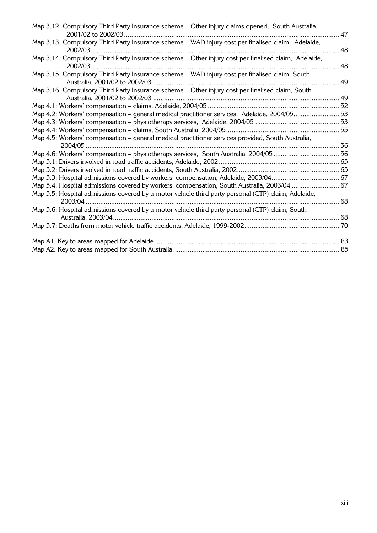| Map 3.12: Compulsory Third Party Insurance scheme - Other injury claims opened, South Australia,     |    |
|------------------------------------------------------------------------------------------------------|----|
| Map 3.13: Compulsory Third Party Insurance scheme - WAD injury cost per finalised claim, Adelaide,   | 48 |
| Map 3.14: Compulsory Third Party Insurance scheme - Other injury cost per finalised claim, Adelaide, | 48 |
| Map 3.15: Compulsory Third Party Insurance scheme - WAD injury cost per finalised claim, South       | 49 |
| Map 3.16: Compulsory Third Party Insurance scheme - Other injury cost per finalised claim, South     |    |
|                                                                                                      |    |
| Map 4.2: Workers' compensation - general medical practitioner services, Adelaide, 2004/0553          |    |
|                                                                                                      |    |
|                                                                                                      |    |
| Map 4.5: Workers' compensation - general medical practitioner services provided, South Australia,    |    |
|                                                                                                      |    |
|                                                                                                      |    |
|                                                                                                      |    |
| Map 5.3: Hospital admissions covered by workers' compensation, Adelaide, 2003/04 67                  |    |
| Map 5.4: Hospital admissions covered by workers' compensation, South Australia, 2003/04  67          |    |
| Map 5.5: Hospital admissions covered by a motor vehicle third party personal (CTP) claim, Adelaide,  |    |
|                                                                                                      |    |
| Map 5.6: Hospital admissions covered by a motor vehicle third party personal (CTP) claim, South      |    |
|                                                                                                      |    |
|                                                                                                      |    |
|                                                                                                      |    |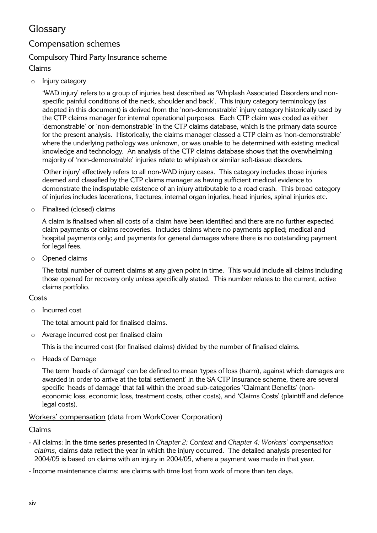### **Glossary**

### Compensation schemes

### Compulsory Third Party Insurance scheme

### Claims

o Injury category

'WAD injury' refers to a group of injuries best described as 'Whiplash Associated Disorders and nonspecific painful conditions of the neck, shoulder and back'. This injury category terminology (as adopted in this document) is derived from the 'non-demonstrable' injury category historically used by the CTP claims manager for internal operational purposes. Each CTP claim was coded as either 'demonstrable' or 'non-demonstrable' in the CTP claims database, which is the primary data source for the present analysis. Historically, the claims manager classed a CTP claim as 'non-demonstrable' where the underlying pathology was unknown, or was unable to be determined with existing medical knowledge and technology. An analysis of the CTP claims database shows that the overwhelming majority of 'non-demonstrable' injuries relate to whiplash or similar soft-tissue disorders.

'Other injury' effectively refers to all non-WAD injury cases. This category includes those injuries deemed and classified by the CTP claims manager as having sufficient medical evidence to demonstrate the indisputable existence of an injury attributable to a road crash. This broad category of injuries includes lacerations, fractures, internal organ injuries, head injuries, spinal injuries etc.

o Finalised (closed) claims

A claim is finalised when all costs of a claim have been identified and there are no further expected claim payments or claims recoveries. Includes claims where no payments applied; medical and hospital payments only; and payments for general damages where there is no outstanding payment for legal fees.

o Opened claims

The total number of current claims at any given point in time. This would include all claims including those opened for recovery only unless specifically stated. This number relates to the current, active claims portfolio.

#### **Costs**

o Incurred cost

The total amount paid for finalised claims.

o Average incurred cost per finalised claim

This is the incurred cost (for finalised claims) divided by the number of finalised claims.

o Heads of Damage

The term 'heads of damage' can be defined to mean 'types of loss (harm), against which damages are awarded in order to arrive at the total settlement' In the SA CTP Insurance scheme, there are several specific 'heads of damage' that fall within the broad sub-categories 'Claimant Benefits' (noneconomic loss, economic loss, treatment costs, other costs), and 'Claims Costs' (plaintiff and defence legal costs).

#### Workers' compensation (data from WorkCover Corporation)

#### Claims

- All claims: In the time series presented in *Chapter 2: Context* and *Chapter 4: Workers' compensation claims*, claims data reflect the year in which the injury occurred. The detailed analysis presented for 2004/05 is based on claims with an injury in 2004/05, where a payment was made in that year.
- Income maintenance claims: are claims with time lost from work of more than ten days.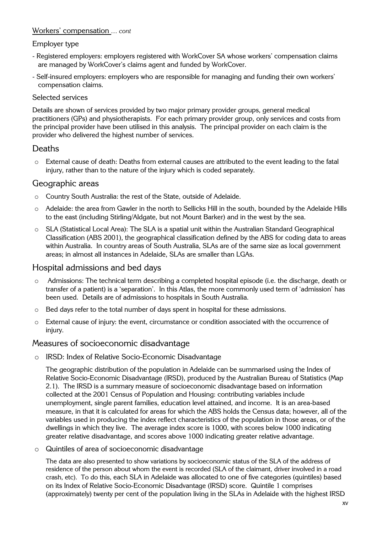### Workers' compensation *… cont*

#### Employer type

- Registered employers: employers registered with WorkCover SA whose workers' compensation claims are managed by WorkCover's claims agent and funded by WorkCover.
- Self-insured employers: employers who are responsible for managing and funding their own workers' compensation claims.

#### Selected services

Details are shown of services provided by two major primary provider groups, general medical practitioners (GPs) and physiotherapists. For each primary provider group, only services and costs from the principal provider have been utilised in this analysis. The principal provider on each claim is the provider who delivered the highest number of services.

### Deaths

o External cause of death: Deaths from external causes are attributed to the event leading to the fatal injury, rather than to the nature of the injury which is coded separately.

### Geographic areas

- o Country South Australia: the rest of the State, outside of Adelaide.
- o Adelaide: the area from Gawler in the north to Sellicks Hill in the south, bounded by the Adelaide Hills to the east (including Stirling/Aldgate, but not Mount Barker) and in the west by the sea.
- o SLA (Statistical Local Area): The SLA is a spatial unit within the Australian Standard Geographical Classification (ABS 2001), the geographical classification defined by the ABS for coding data to areas within Australia. In country areas of South Australia, SLAs are of the same size as local government areas; in almost all instances in Adelaide, SLAs are smaller than LGAs.

### Hospital admissions and bed days

- o Admissions: The technical term describing a completed hospital episode (i.e. the discharge, death or transfer of a patient) is a 'separation'. In this Atlas, the more commonly used term of 'admission' has been used. Details are of admissions to hospitals in South Australia.
- o Bed days refer to the total number of days spent in hospital for these admissions.
- o External cause of injury: the event, circumstance or condition associated with the occurrence of injury.

#### Measures of socioeconomic disadvantage

o IRSD: Index of Relative Socio-Economic Disadvantage

The geographic distribution of the population in Adelaide can be summarised using the Index of Relative Socio-Economic Disadvantage (IRSD), produced by the Australian Bureau of Statistics (Map 2.1). The IRSD is a summary measure of socioeconomic disadvantage based on information collected at the 2001 Census of Population and Housing: contributing variables include unemployment, single parent families, education level attained, and income. It is an area-based measure, in that it is calculated for areas for which the ABS holds the Census data; however, all of the variables used in producing the index reflect characteristics of the population in those areas, or of the dwellings in which they live. The average index score is 1000, with scores below 1000 indicating greater relative disadvantage, and scores above 1000 indicating greater relative advantage.

o Quintiles of area of socioeconomic disadvantage

The data are also presented to show variations by socioeconomic status of the SLA of the address of residence of the person about whom the event is recorded (SLA of the claimant, driver involved in a road crash, etc). To do this, each SLA in Adelaide was allocated to one of five categories (quintiles) based on its Index of Relative Socio-Economic Disadvantage (IRSD) score. Quintile 1 comprises (approximately) twenty per cent of the population living in the SLAs in Adelaide with the highest IRSD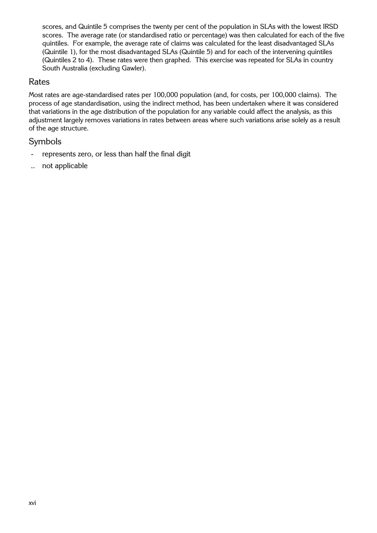scores, and Quintile 5 comprises the twenty per cent of the population in SLAs with the lowest IRSD scores. The average rate (or standardised ratio or percentage) was then calculated for each of the five quintiles. For example, the average rate of claims was calculated for the least disadvantaged SLAs (Quintile 1), for the most disadvantaged SLAs (Quintile 5) and for each of the intervening quintiles (Quintiles 2 to 4). These rates were then graphed. This exercise was repeated for SLAs in country South Australia (excluding Gawler).

### Rates

Most rates are age-standardised rates per 100,000 population (and, for costs, per 100,000 claims). The process of age standardisation, using the indirect method, has been undertaken where it was considered that variations in the age distribution of the population for any variable could affect the analysis, as this adjustment largely removes variations in rates between areas where such variations arise solely as a result of the age structure.

### Symbols

- represents zero, or less than half the final digit
- .. not applicable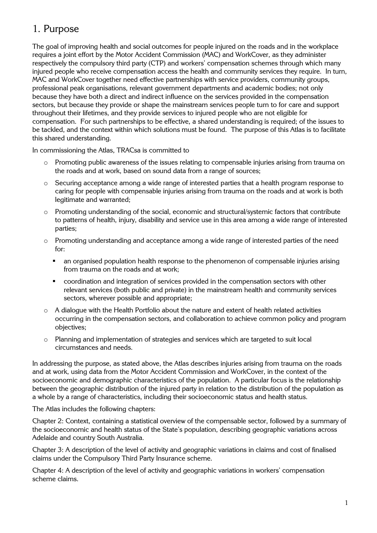### 1. Purpose

The goal of improving health and social outcomes for people injured on the roads and in the workplace requires a joint effort by the Motor Accident Commission (MAC) and WorkCover, as they administer respectively the compulsory third party (CTP) and workers' compensation schemes through which many injured people who receive compensation access the health and community services they require. In turn, MAC and WorkCover together need effective partnerships with service providers, community groups, professional peak organisations, relevant government departments and academic bodies; not only because they have both a direct and indirect influence on the services provided in the compensation sectors, but because they provide or shape the mainstream services people turn to for care and support throughout their lifetimes, and they provide services to injured people who are not eligible for compensation. For such partnerships to be effective, a shared understanding is required; of the issues to be tackled, and the context within which solutions must be found. The purpose of this Atlas is to facilitate this shared understanding.

In commissioning the Atlas, TRACsa is committed to

- o Promoting public awareness of the issues relating to compensable injuries arising from trauma on the roads and at work, based on sound data from a range of sources;
- o Securing acceptance among a wide range of interested parties that a health program response to caring for people with compensable injuries arising from trauma on the roads and at work is both legitimate and warranted;
- o Promoting understanding of the social, economic and structural/systemic factors that contribute to patterns of health, injury, disability and service use in this area among a wide range of interested parties;
- o Promoting understanding and acceptance among a wide range of interested parties of the need for:
	- an organised population health response to the phenomenon of compensable injuries arising from trauma on the roads and at work;
	- coordination and integration of services provided in the compensation sectors with other relevant services (both public and private) in the mainstream health and community services sectors, wherever possible and appropriate;
- $\circ$  A dialogue with the Health Portfolio about the nature and extent of health related activities occurring in the compensation sectors, and collaboration to achieve common policy and program objectives;
- o Planning and implementation of strategies and services which are targeted to suit local circumstances and needs.

In addressing the purpose, as stated above, the Atlas describes injuries arising from trauma on the roads and at work, using data from the Motor Accident Commission and WorkCover, in the context of the socioeconomic and demographic characteristics of the population. A particular focus is the relationship between the geographic distribution of the injured party in relation to the distribution of the population as a whole by a range of characteristics, including their socioeconomic status and health status.

The Atlas includes the following chapters:

Chapter 2: Context, containing a statistical overview of the compensable sector, followed by a summary of the socioeconomic and health status of the State's population, describing geographic variations across Adelaide and country South Australia.

Chapter 3: A description of the level of activity and geographic variations in claims and cost of finalised claims under the Compulsory Third Party Insurance scheme.

Chapter 4: A description of the level of activity and geographic variations in workers' compensation scheme claims.